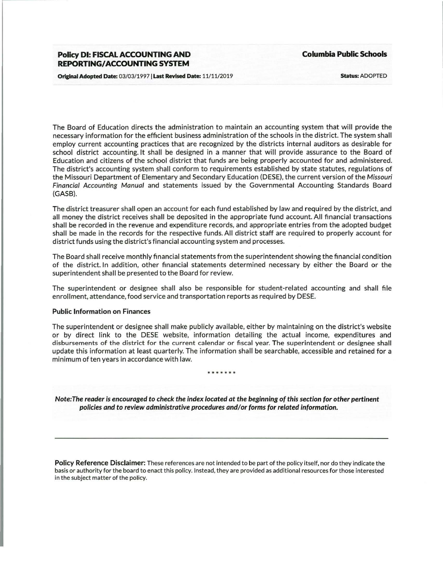## **Policy Dl: FISCAL ACCOUNTING AND REPORTING/ ACCOUNTING SYSTEM**

**Columbia Public Schools** 

Original Adopted Date: 03/03/1997 | Last Revised Date: 11/11/2019

Status: ADOPTED

The Board of Education directs the administration to maintain an accounting system that will provide the necessary information for the efficient business administration of the schools in the district. The system shall employ current accounting practices that are recognized by the districts internal auditors as desirable for school district accounting. It shall be designed in a manner that will provide assurance to the Board of Education and citizens of the school district that funds are being properly accounted for and administered. The district's accounting system shall conform to requirements established by state statutes, regulations of the Missouri Department of Elementary and Secondary Education (DESE), the current version of the Missouri Financial Accounting Manual and statements issued by the Governmental Accounting Standards Board (GASB).

The district treasurer shall open an account for each fund established by law and required by the district, and all money the district receives shall be deposited in the appropriate fund account. All financial transactions shall be recorded in the revenue and expenditure records, and appropriate entries from the adopted budget shall be made in the records for the respective funds. All district staff are required to properly account for district funds using the district's financial accounting system and processes.

The Board shall receive monthly financial statements from the superintendent showing the financial condition of the district. In addition, other financial statements determined necessary by either the Board or the superintendent shall be presented to the Board for review.

The superintendent or designee shall also be responsible for student-related accounting and shall file enrollment, attendance, food service and transportation reports as required by DESE.

## Public Information on Finances

The superintendent or designee shall make publicly available, either by maintaining on the district's website or by direct link to the DESE website, information detailing the actual income, expenditures and disbursements of the district for the current calendar or fiscal year. The superintendent or designee shall update this information at least quarterly. The information shall be searchable, accessible and retained for a minimum of ten years in accordance with law.

\* \* \* \* \* \*

Note: The reader is encouraged to check the index located at the beginning of this section for other pertinent policies and to review administrative procedures and/ or forms for related information.

Policy Reference Disclaimer: These references are not intended to be part of the policy itself, nor do they indicate the basis or authority for the board to enact this policy. Instead, they are provided as additional resources for those interested in the subject matter of the policy.